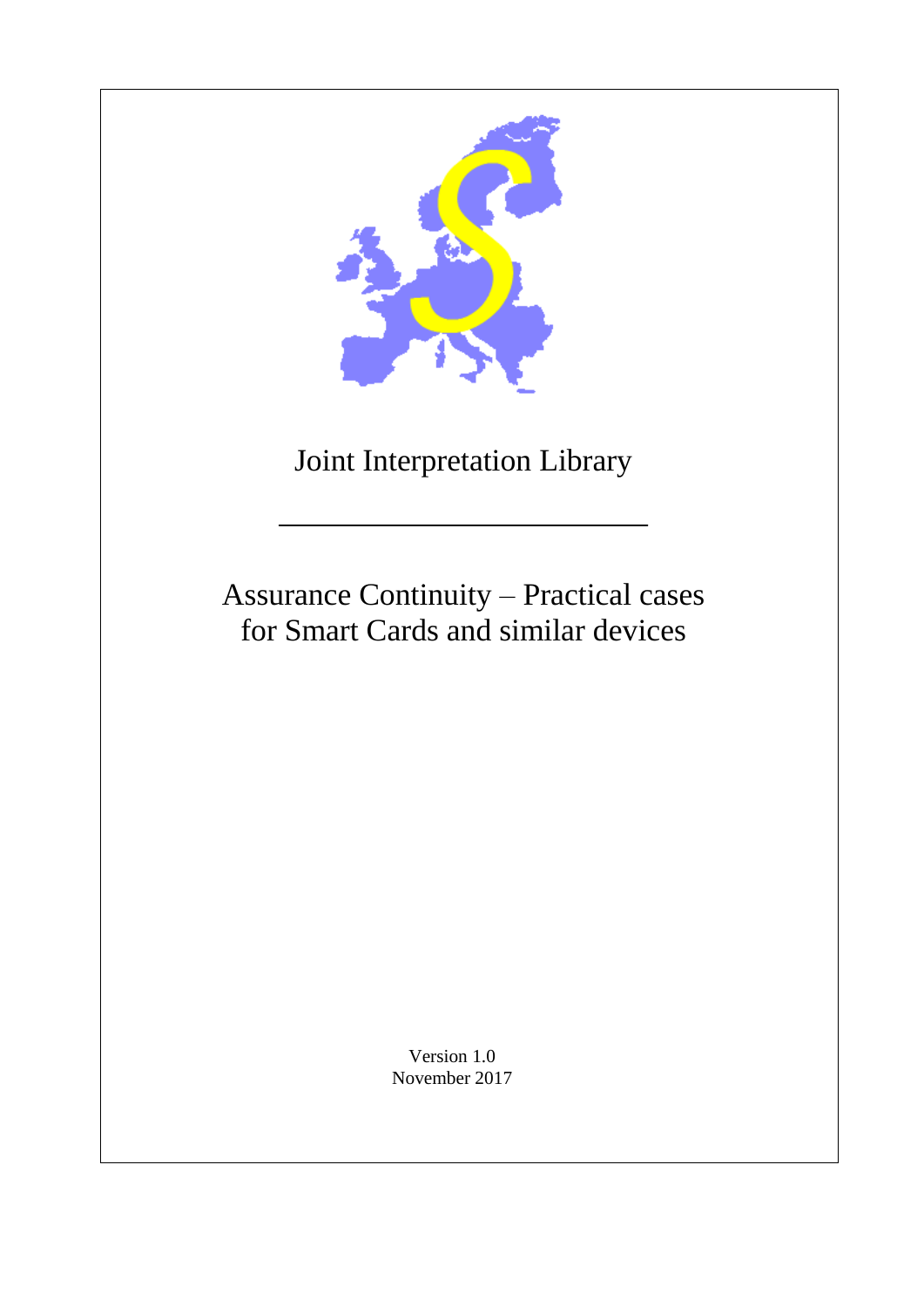

# Joint Interpretation Library

Assurance Continuity – Practical cases for Smart Cards and similar devices

> Version 1.0 November 2017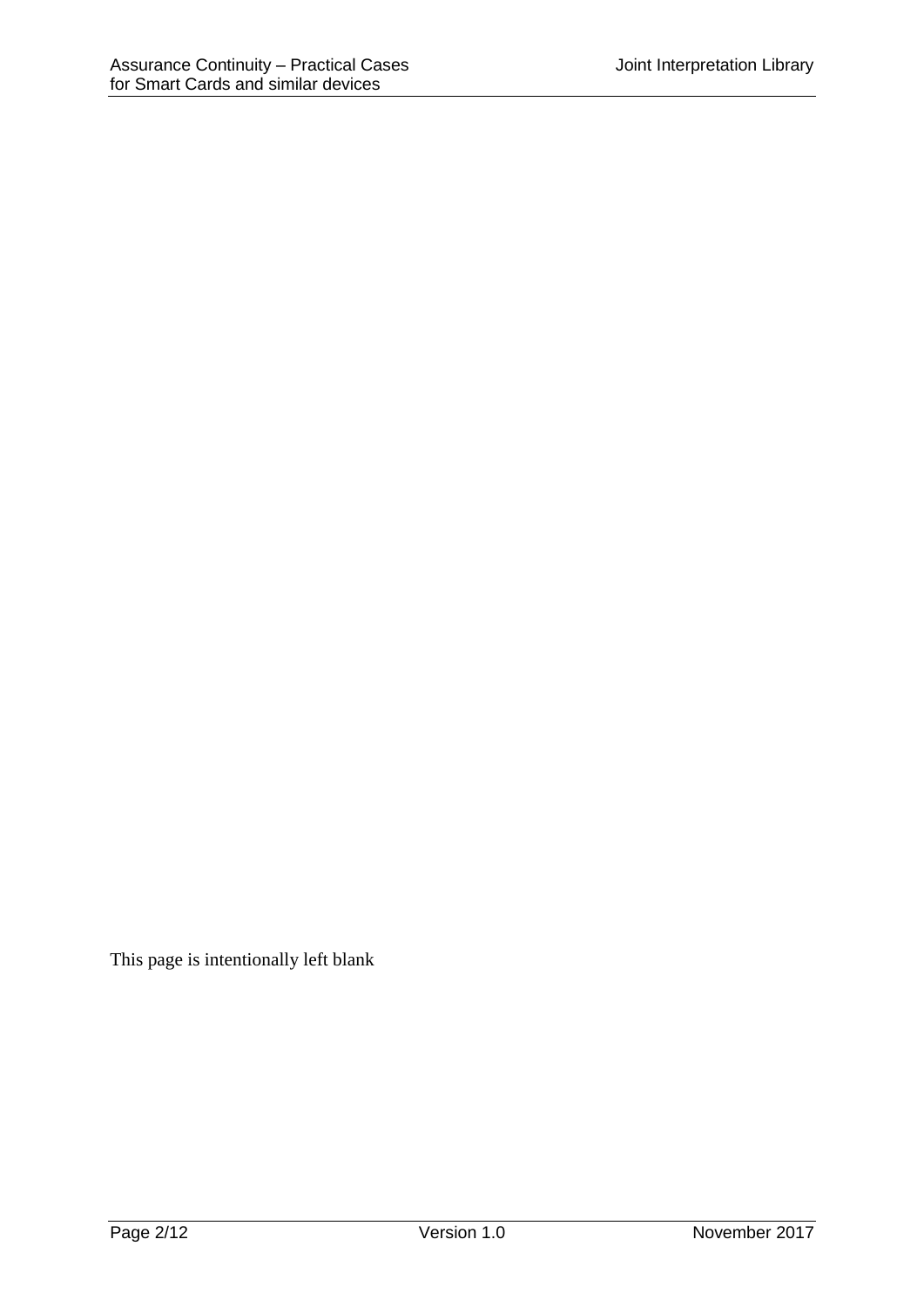This page is intentionally left blank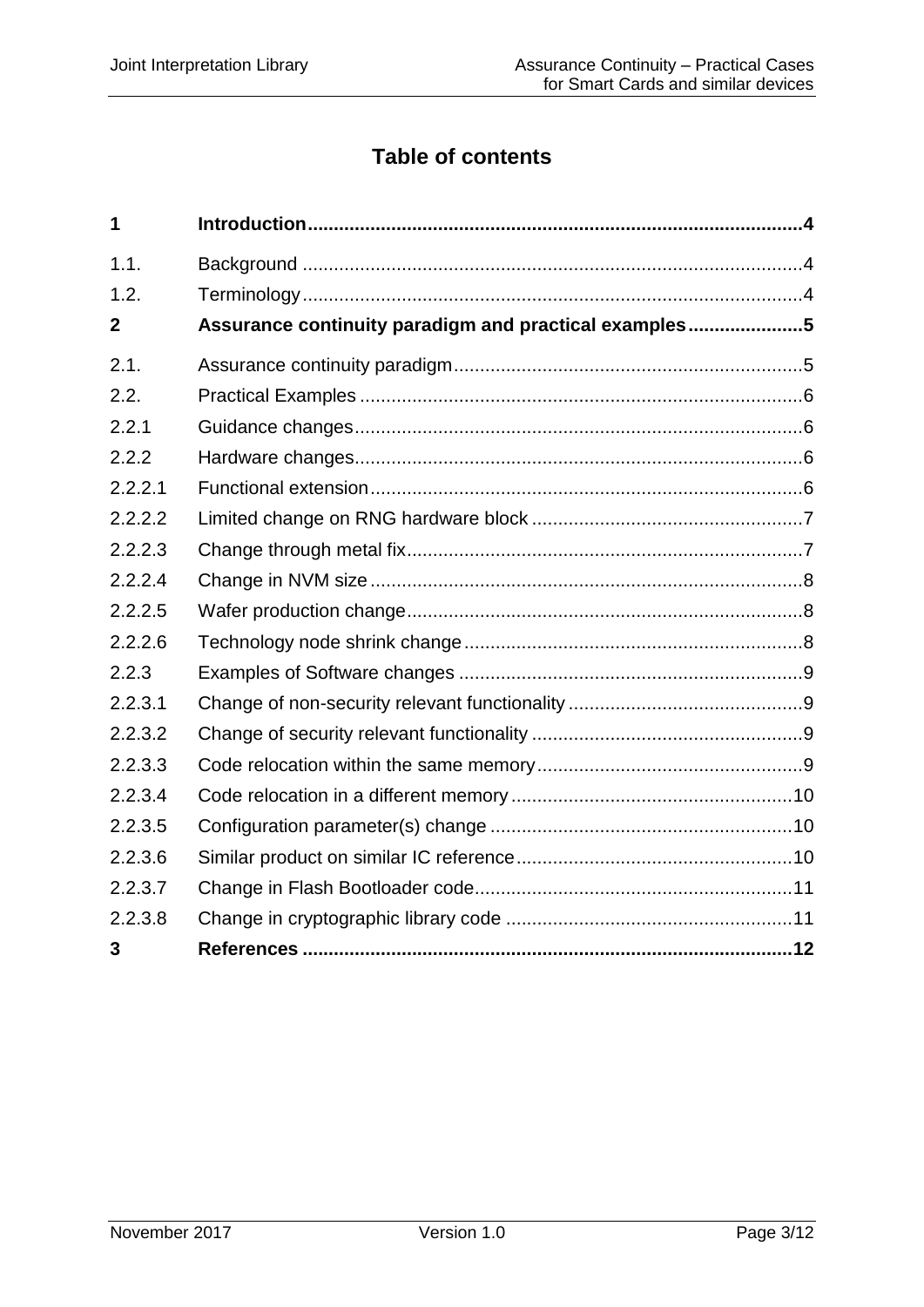## **Table of contents**

| 1                |                                                       |  |
|------------------|-------------------------------------------------------|--|
| 1.1.             |                                                       |  |
| 1.2.             |                                                       |  |
| $\boldsymbol{2}$ | Assurance continuity paradigm and practical examples5 |  |
| 2.1.             |                                                       |  |
| 2.2.             |                                                       |  |
| 2.2.1            |                                                       |  |
| 2.2.2            |                                                       |  |
| 2.2.2.1          |                                                       |  |
| 2.2.2.2          |                                                       |  |
| 2.2.2.3          |                                                       |  |
| 2.2.2.4          |                                                       |  |
| 2.2.2.5          |                                                       |  |
| 2.2.2.6          |                                                       |  |
| 2.2.3            |                                                       |  |
| 2.2.3.1          |                                                       |  |
| 2.2.3.2          |                                                       |  |
| 2.2.3.3          |                                                       |  |
| 2.2.3.4          |                                                       |  |
| 2.2.3.5          |                                                       |  |
| 2.2.3.6          |                                                       |  |
| 2.2.3.7          |                                                       |  |
| 2.2.3.8          |                                                       |  |
| 3                |                                                       |  |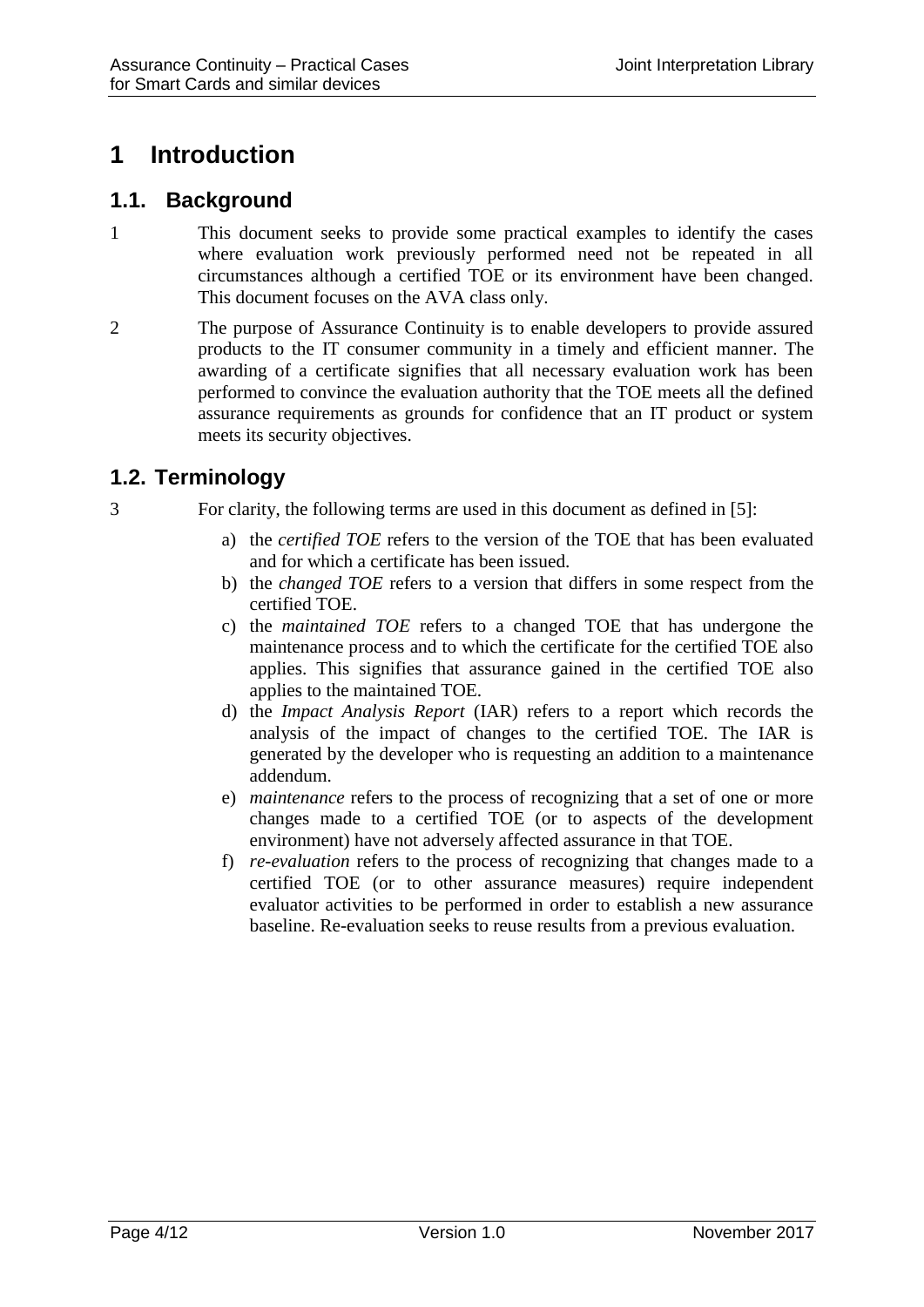## **1 Introduction**

## **1.1. Background**

- 1 This document seeks to provide some practical examples to identify the cases where evaluation work previously performed need not be repeated in all circumstances although a certified TOE or its environment have been changed. This document focuses on the AVA class only.
- 2 The purpose of Assurance Continuity is to enable developers to provide assured products to the IT consumer community in a timely and efficient manner. The awarding of a certificate signifies that all necessary evaluation work has been performed to convince the evaluation authority that the TOE meets all the defined assurance requirements as grounds for confidence that an IT product or system meets its security objectives.

## **1.2. Terminology**

- 3 For clarity, the following terms are used in this document as defined in [5]:
	- a) the *certified TOE* refers to the version of the TOE that has been evaluated and for which a certificate has been issued.
	- b) the *changed TOE* refers to a version that differs in some respect from the certified TOE.
	- c) the *maintained TOE* refers to a changed TOE that has undergone the maintenance process and to which the certificate for the certified TOE also applies. This signifies that assurance gained in the certified TOE also applies to the maintained TOE.
	- d) the *Impact Analysis Report* (IAR) refers to a report which records the analysis of the impact of changes to the certified TOE. The IAR is generated by the developer who is requesting an addition to a maintenance addendum.
	- e) *maintenance* refers to the process of recognizing that a set of one or more changes made to a certified TOE (or to aspects of the development environment) have not adversely affected assurance in that TOE.
	- f) *re-evaluation* refers to the process of recognizing that changes made to a certified TOE (or to other assurance measures) require independent evaluator activities to be performed in order to establish a new assurance baseline. Re-evaluation seeks to reuse results from a previous evaluation.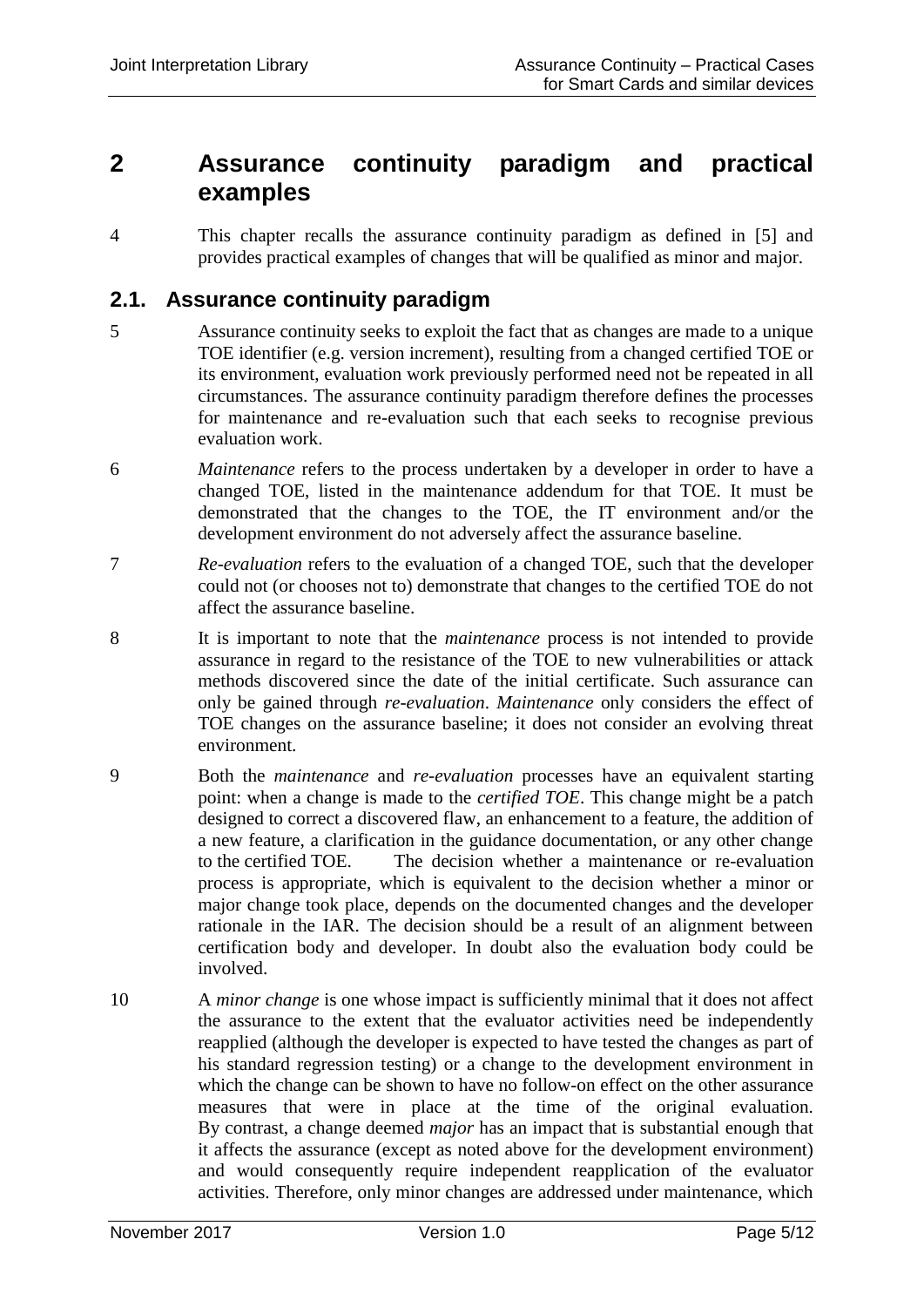## **2 Assurance continuity paradigm and practical examples**

4 This chapter recalls the assurance continuity paradigm as defined in [5] and provides practical examples of changes that will be qualified as minor and major.

### **2.1. Assurance continuity paradigm**

- 5 Assurance continuity seeks to exploit the fact that as changes are made to a unique TOE identifier (e.g. version increment), resulting from a changed certified TOE or its environment, evaluation work previously performed need not be repeated in all circumstances. The assurance continuity paradigm therefore defines the processes for maintenance and re-evaluation such that each seeks to recognise previous evaluation work.
- 6 *Maintenance* refers to the process undertaken by a developer in order to have a changed TOE, listed in the maintenance addendum for that TOE. It must be demonstrated that the changes to the TOE, the IT environment and/or the development environment do not adversely affect the assurance baseline.
- 7 *Re-evaluation* refers to the evaluation of a changed TOE, such that the developer could not (or chooses not to) demonstrate that changes to the certified TOE do not affect the assurance baseline.
- 8 It is important to note that the *maintenance* process is not intended to provide assurance in regard to the resistance of the TOE to new vulnerabilities or attack methods discovered since the date of the initial certificate. Such assurance can only be gained through *re-evaluation*. *Maintenance* only considers the effect of TOE changes on the assurance baseline; it does not consider an evolving threat environment.
- 9 Both the *maintenance* and *re-evaluation* processes have an equivalent starting point: when a change is made to the *certified TOE*. This change might be a patch designed to correct a discovered flaw, an enhancement to a feature, the addition of a new feature, a clarification in the guidance documentation, or any other change to the certified TOE. The decision whether a maintenance or re-evaluation process is appropriate, which is equivalent to the decision whether a minor or major change took place, depends on the documented changes and the developer rationale in the IAR. The decision should be a result of an alignment between certification body and developer. In doubt also the evaluation body could be involved.
- 10 A *minor change* is one whose impact is sufficiently minimal that it does not affect the assurance to the extent that the evaluator activities need be independently reapplied (although the developer is expected to have tested the changes as part of his standard regression testing) or a change to the development environment in which the change can be shown to have no follow-on effect on the other assurance measures that were in place at the time of the original evaluation. By contrast, a change deemed *major* has an impact that is substantial enough that it affects the assurance (except as noted above for the development environment) and would consequently require independent reapplication of the evaluator activities. Therefore, only minor changes are addressed under maintenance, which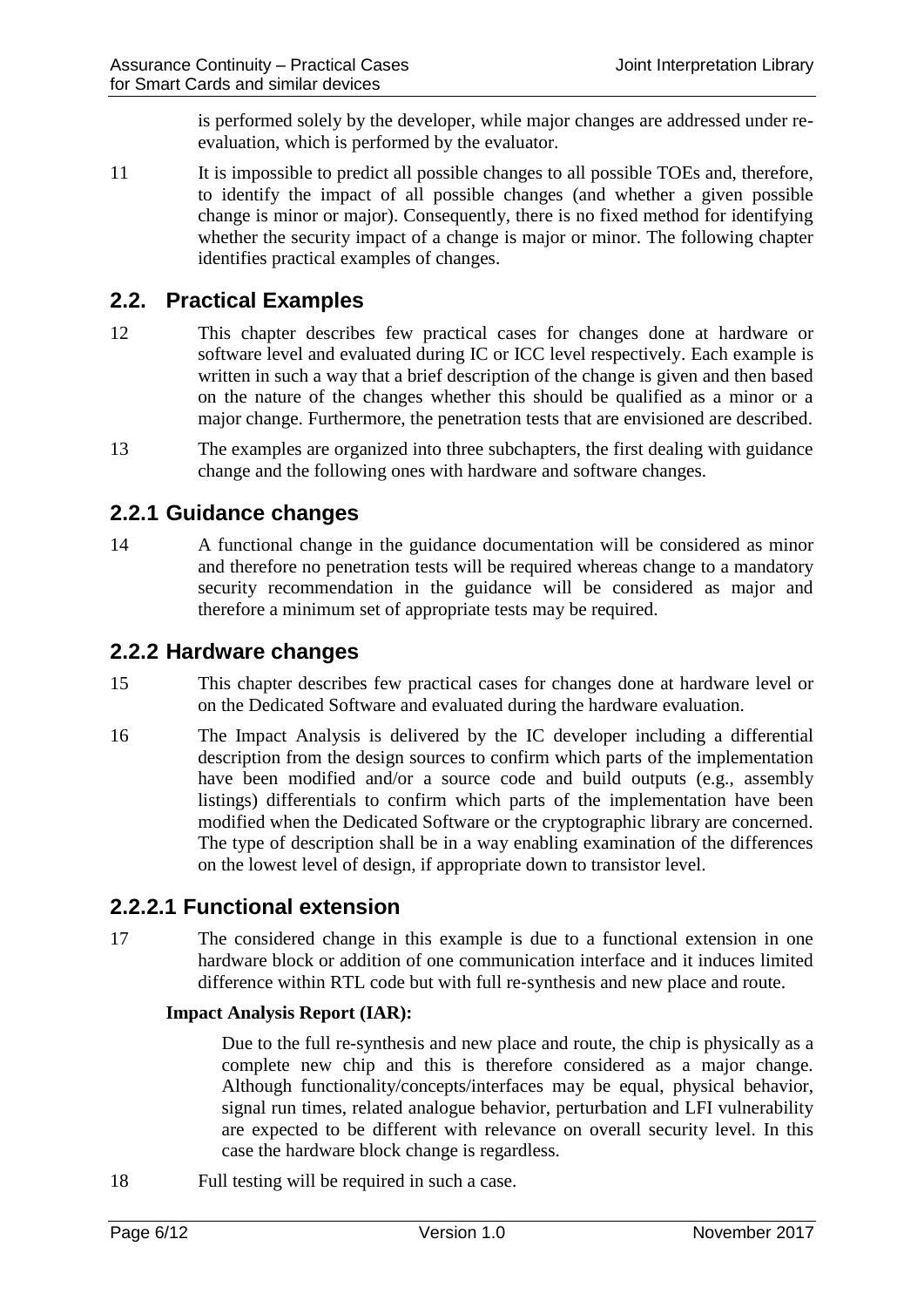is performed solely by the developer, while major changes are addressed under reevaluation, which is performed by the evaluator.

11 It is impossible to predict all possible changes to all possible TOEs and, therefore, to identify the impact of all possible changes (and whether a given possible change is minor or major). Consequently, there is no fixed method for identifying whether the security impact of a change is major or minor. The following chapter identifies practical examples of changes.

### **2.2. Practical Examples**

- 12 This chapter describes few practical cases for changes done at hardware or software level and evaluated during IC or ICC level respectively. Each example is written in such a way that a brief description of the change is given and then based on the nature of the changes whether this should be qualified as a minor or a major change. Furthermore, the penetration tests that are envisioned are described.
- 13 The examples are organized into three subchapters, the first dealing with guidance change and the following ones with hardware and software changes.

#### **2.2.1 Guidance changes**

14 A functional change in the guidance documentation will be considered as minor and therefore no penetration tests will be required whereas change to a mandatory security recommendation in the guidance will be considered as major and therefore a minimum set of appropriate tests may be required.

#### **2.2.2 Hardware changes**

- 15 This chapter describes few practical cases for changes done at hardware level or on the Dedicated Software and evaluated during the hardware evaluation.
- 16 The Impact Analysis is delivered by the IC developer including a differential description from the design sources to confirm which parts of the implementation have been modified and/or a source code and build outputs (e.g., assembly listings) differentials to confirm which parts of the implementation have been modified when the Dedicated Software or the cryptographic library are concerned. The type of description shall be in a way enabling examination of the differences on the lowest level of design, if appropriate down to transistor level.

#### **2.2.2.1 Functional extension**

17 The considered change in this example is due to a functional extension in one hardware block or addition of one communication interface and it induces limited difference within RTL code but with full re‐synthesis and new place and route.

#### **Impact Analysis Report (IAR):**

Due to the full re-synthesis and new place and route, the chip is physically as a complete new chip and this is therefore considered as a major change. Although functionality/concepts/interfaces may be equal, physical behavior, signal run times, related analogue behavior, perturbation and LFI vulnerability are expected to be different with relevance on overall security level. In this case the hardware block change is regardless.

18 Full testing will be required in such a case.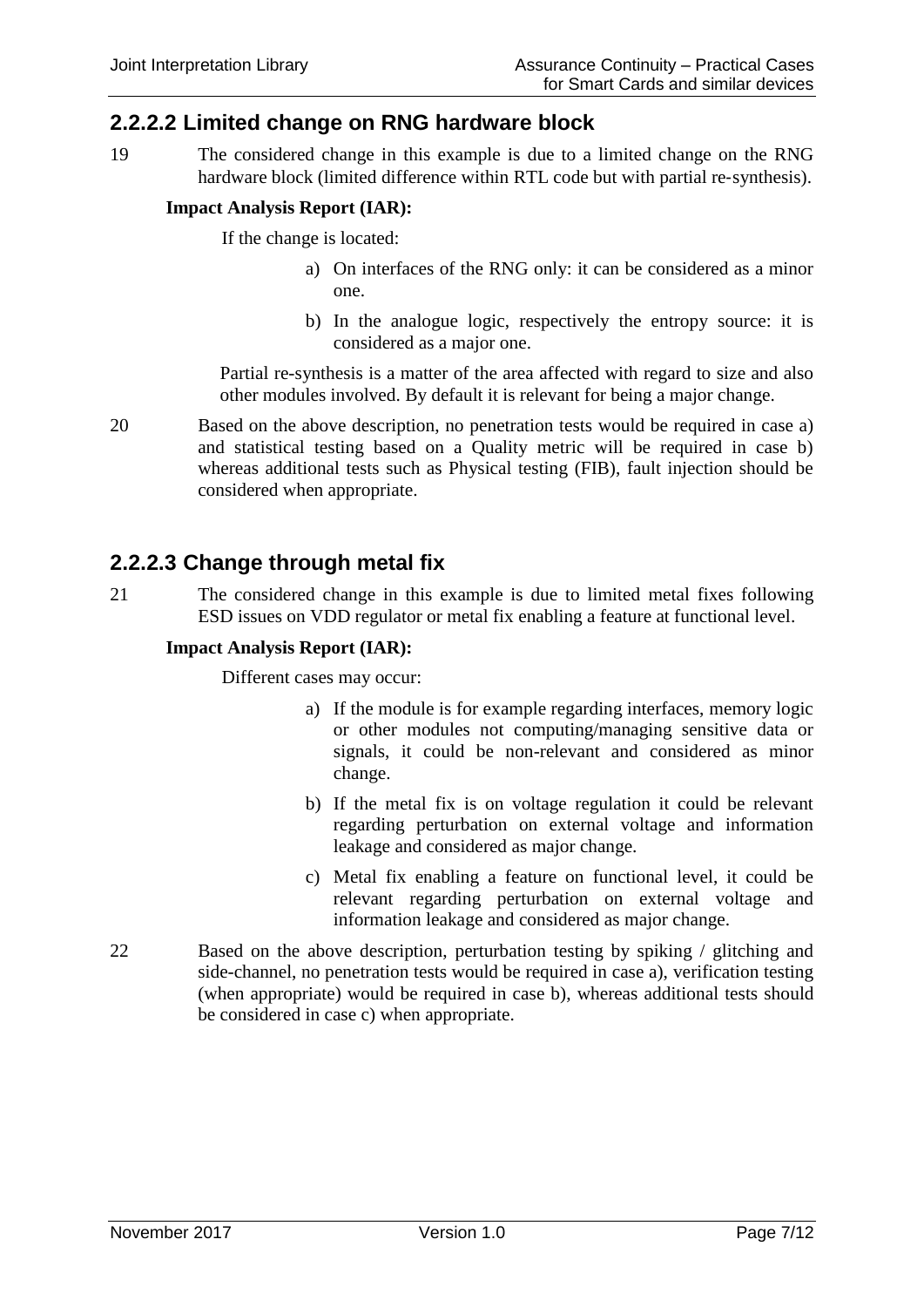## **2.2.2.2 Limited change on RNG hardware block**

19 The considered change in this example is due to a limited change on the RNG hardware block (limited difference within RTL code but with partial re-synthesis).

#### **Impact Analysis Report (IAR):**

If the change is located:

- a) On interfaces of the RNG only: it can be considered as a minor one.
- b) In the analogue logic, respectively the entropy source: it is considered as a major one.

Partial re-synthesis is a matter of the area affected with regard to size and also other modules involved. By default it is relevant for being a major change.

20 Based on the above description, no penetration tests would be required in case a) and statistical testing based on a Quality metric will be required in case b) whereas additional tests such as Physical testing (FIB), fault injection should be considered when appropriate.

## **2.2.2.3 Change through metal fix**

21 The considered change in this example is due to limited metal fixes following ESD issues on VDD regulator or metal fix enabling a feature at functional level.

#### **Impact Analysis Report (IAR):**

Different cases may occur:

- a) If the module is for example regarding interfaces, memory logic or other modules not computing/managing sensitive data or signals, it could be non-relevant and considered as minor change.
- b) If the metal fix is on voltage regulation it could be relevant regarding perturbation on external voltage and information leakage and considered as major change.
- c) Metal fix enabling a feature on functional level, it could be relevant regarding perturbation on external voltage and information leakage and considered as major change.
- 22 Based on the above description, perturbation testing by spiking / glitching and side-channel, no penetration tests would be required in case a), verification testing (when appropriate) would be required in case b), whereas additional tests should be considered in case c) when appropriate.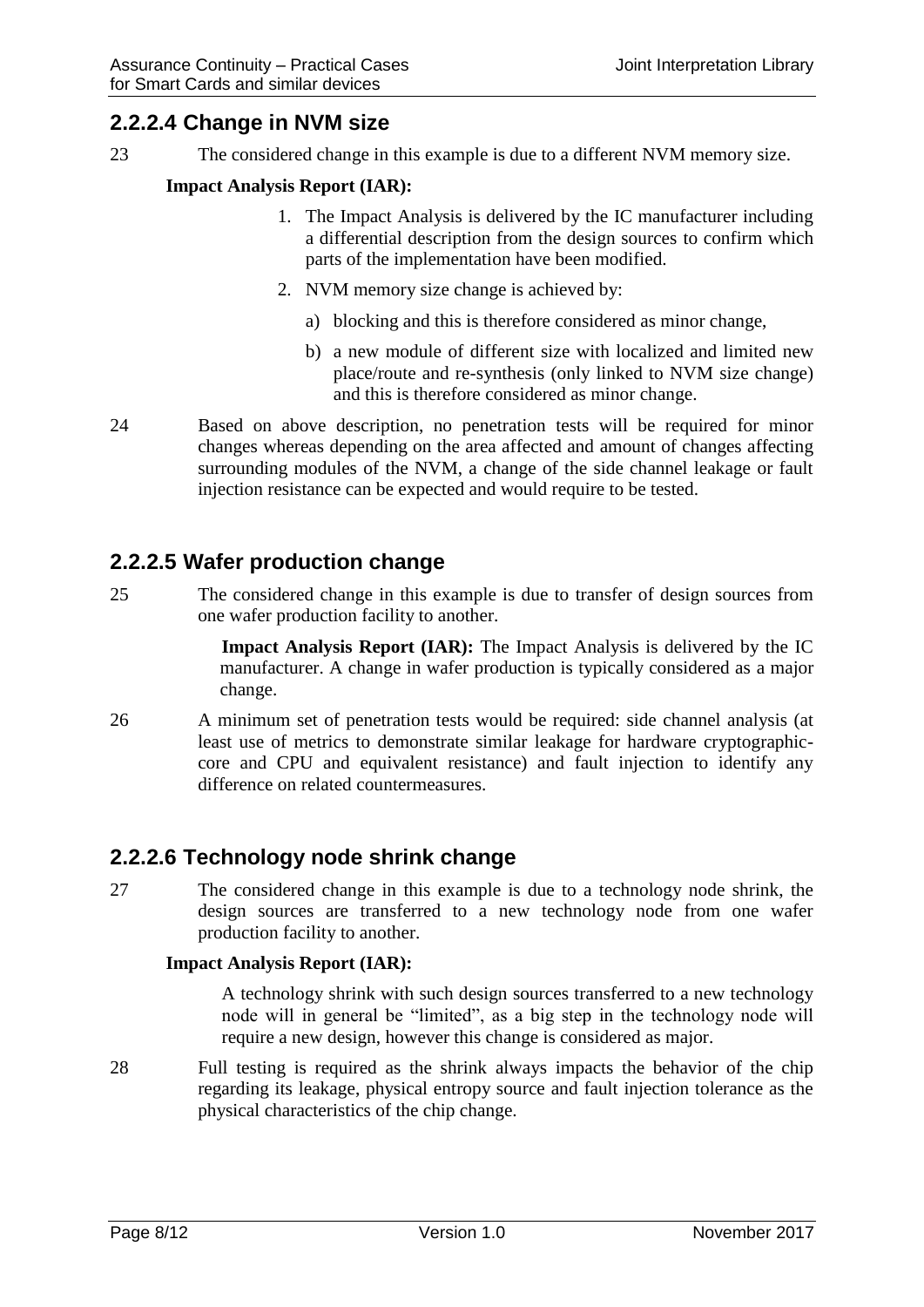## **2.2.2.4 Change in NVM size**

23 The considered change in this example is due to a different NVM memory size.

#### **Impact Analysis Report (IAR):**

- 1. The Impact Analysis is delivered by the IC manufacturer including a differential description from the design sources to confirm which parts of the implementation have been modified.
- 2. NVM memory size change is achieved by:
	- a) blocking and this is therefore considered as minor change,
	- b) a new module of different size with localized and limited new place/route and re-synthesis (only linked to NVM size change) and this is therefore considered as minor change.
- 24 Based on above description, no penetration tests will be required for minor changes whereas depending on the area affected and amount of changes affecting surrounding modules of the NVM, a change of the side channel leakage or fault injection resistance can be expected and would require to be tested.

## **2.2.2.5 Wafer production change**

25 The considered change in this example is due to transfer of design sources from one wafer production facility to another.

> **Impact Analysis Report (IAR):** The Impact Analysis is delivered by the IC manufacturer. A change in wafer production is typically considered as a major change.

26 A minimum set of penetration tests would be required: side channel analysis (at least use of metrics to demonstrate similar leakage for hardware cryptographiccore and CPU and equivalent resistance) and fault injection to identify any difference on related countermeasures.

## **2.2.2.6 Technology node shrink change**

27 The considered change in this example is due to a technology node shrink, the design sources are transferred to a new technology node from one wafer production facility to another.

#### **Impact Analysis Report (IAR):**

A technology shrink with such design sources transferred to a new technology node will in general be "limited", as a big step in the technology node will require a new design, however this change is considered as major.

28 Full testing is required as the shrink always impacts the behavior of the chip regarding its leakage, physical entropy source and fault injection tolerance as the physical characteristics of the chip change.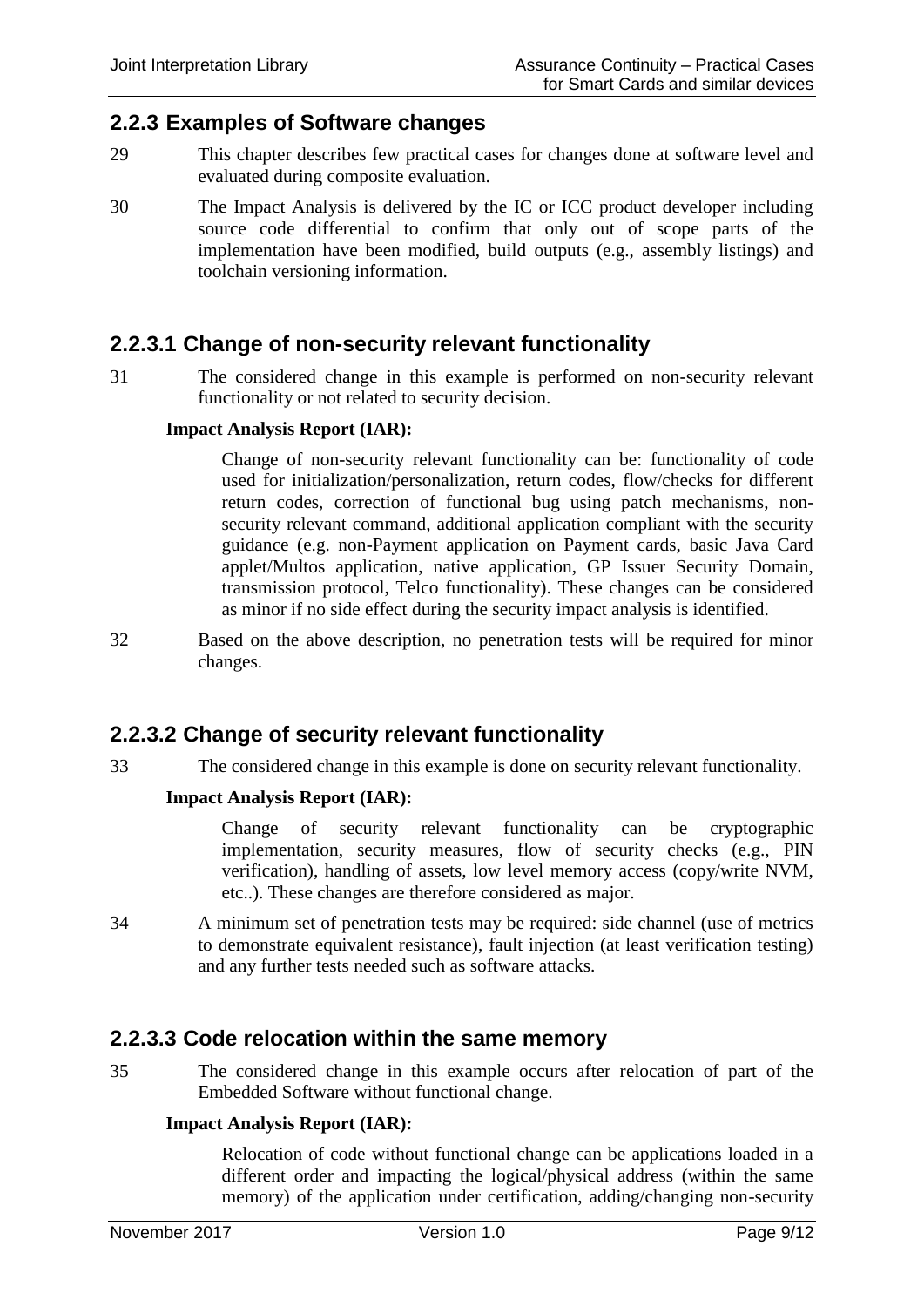### **2.2.3 Examples of Software changes**

- 29 This chapter describes few practical cases for changes done at software level and evaluated during composite evaluation.
- 30 The Impact Analysis is delivered by the IC or ICC product developer including source code differential to confirm that only out of scope parts of the implementation have been modified, build outputs (e.g., assembly listings) and toolchain versioning information.

### **2.2.3.1 Change of non-security relevant functionality**

31 The considered change in this example is performed on non-security relevant functionality or not related to security decision.

#### **Impact Analysis Report (IAR):**

Change of non-security relevant functionality can be: functionality of code used for initialization/personalization, return codes, flow/checks for different return codes, correction of functional bug using patch mechanisms, nonsecurity relevant command, additional application compliant with the security guidance (e.g. non-Payment application on Payment cards, basic Java Card applet/Multos application, native application, GP Issuer Security Domain, transmission protocol, Telco functionality). These changes can be considered as minor if no side effect during the security impact analysis is identified.

32 Based on the above description, no penetration tests will be required for minor changes.

### **2.2.3.2 Change of security relevant functionality**

33 The considered change in this example is done on security relevant functionality.

#### **Impact Analysis Report (IAR):**

Change of security relevant functionality can be cryptographic implementation, security measures, flow of security checks (e.g., PIN verification), handling of assets, low level memory access (copy/write NVM, etc..). These changes are therefore considered as major.

34 A minimum set of penetration tests may be required: side channel (use of metrics to demonstrate equivalent resistance), fault injection (at least verification testing) and any further tests needed such as software attacks.

#### **2.2.3.3 Code relocation within the same memory**

35 The considered change in this example occurs after relocation of part of the Embedded Software without functional change.

#### **Impact Analysis Report (IAR):**

Relocation of code without functional change can be applications loaded in a different order and impacting the logical/physical address (within the same memory) of the application under certification, adding/changing non-security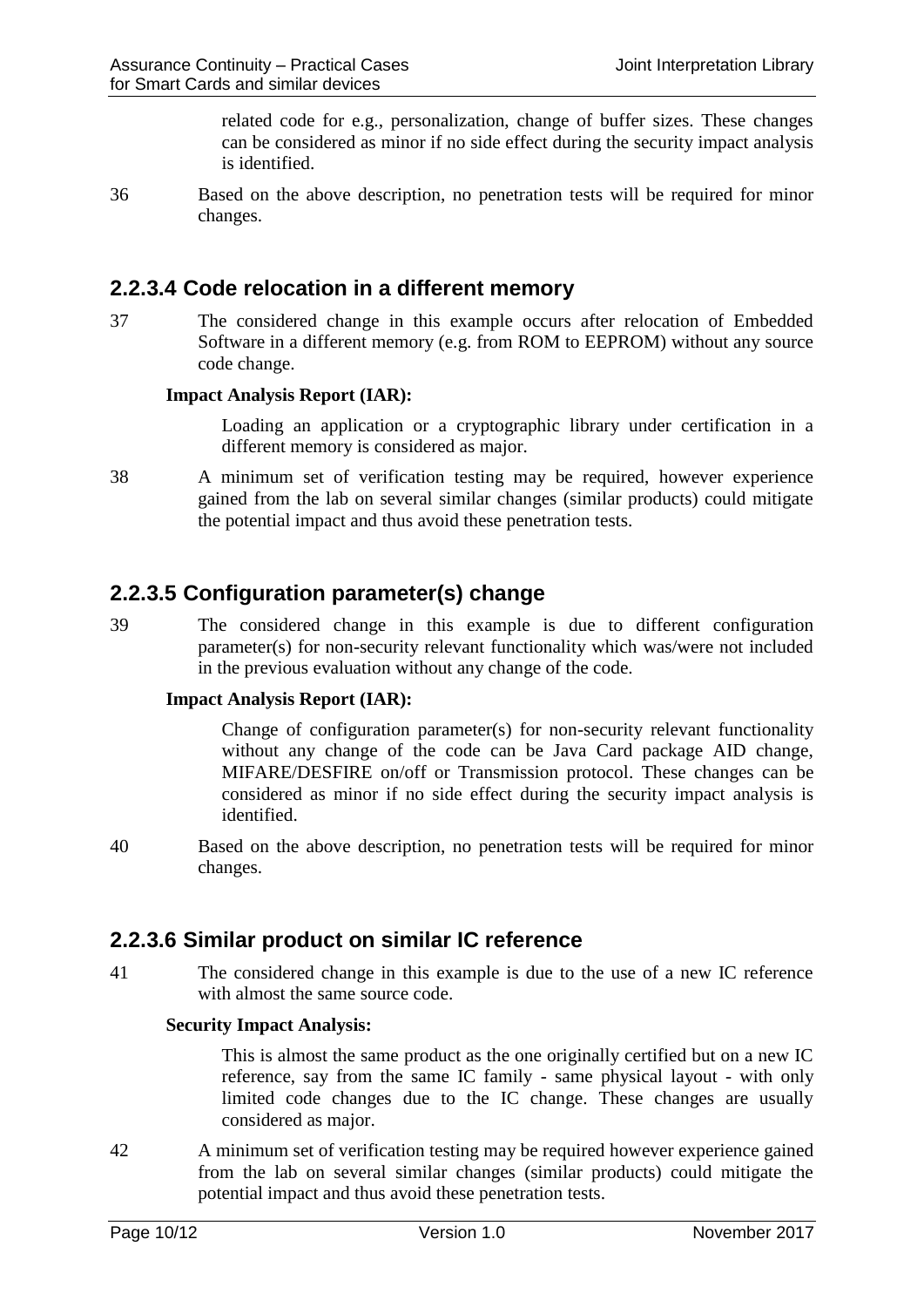related code for e.g., personalization, change of buffer sizes. These changes can be considered as minor if no side effect during the security impact analysis is identified.

36 Based on the above description, no penetration tests will be required for minor changes.

#### **2.2.3.4 Code relocation in a different memory**

37 The considered change in this example occurs after relocation of Embedded Software in a different memory (e.g. from ROM to EEPROM) without any source code change.

#### **Impact Analysis Report (IAR):**

Loading an application or a cryptographic library under certification in a different memory is considered as major.

38 A minimum set of verification testing may be required, however experience gained from the lab on several similar changes (similar products) could mitigate the potential impact and thus avoid these penetration tests.

### **2.2.3.5 Configuration parameter(s) change**

39 The considered change in this example is due to different configuration parameter(s) for non-security relevant functionality which was/were not included in the previous evaluation without any change of the code.

#### **Impact Analysis Report (IAR):**

Change of configuration parameter(s) for non-security relevant functionality without any change of the code can be Java Card package AID change, MIFARE/DESFIRE on/off or Transmission protocol. These changes can be considered as minor if no side effect during the security impact analysis is identified.

40 Based on the above description, no penetration tests will be required for minor changes.

### **2.2.3.6 Similar product on similar IC reference**

41 The considered change in this example is due to the use of a new IC reference with almost the same source code.

#### **Security Impact Analysis:**

This is almost the same product as the one originally certified but on a new IC reference, say from the same IC family - same physical layout - with only limited code changes due to the IC change. These changes are usually considered as major.

42 A minimum set of verification testing may be required however experience gained from the lab on several similar changes (similar products) could mitigate the potential impact and thus avoid these penetration tests.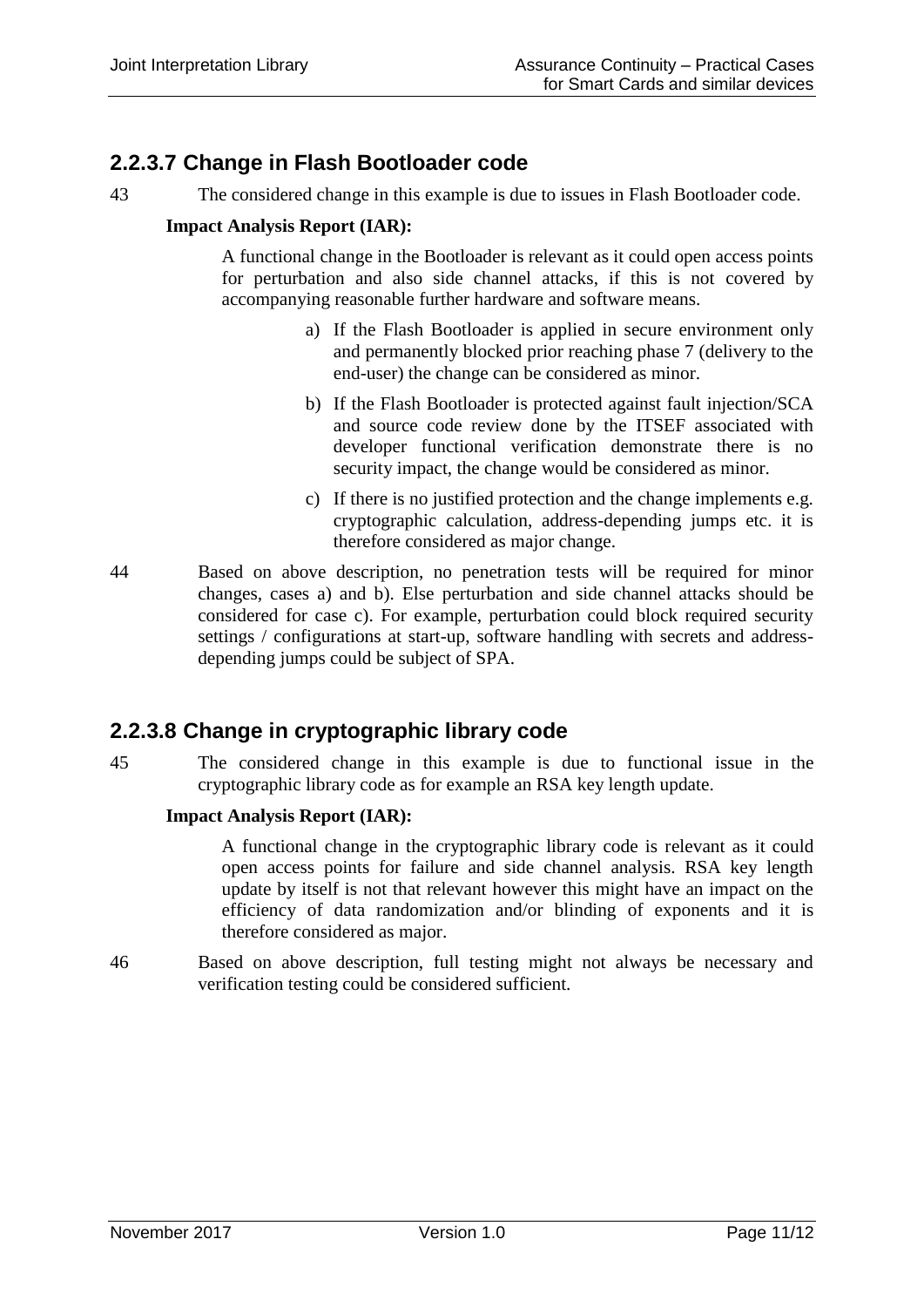## **2.2.3.7 Change in Flash Bootloader code**

43 The considered change in this example is due to issues in Flash Bootloader code.

#### **Impact Analysis Report (IAR):**

A functional change in the Bootloader is relevant as it could open access points for perturbation and also side channel attacks, if this is not covered by accompanying reasonable further hardware and software means.

- a) If the Flash Bootloader is applied in secure environment only and permanently blocked prior reaching phase 7 (delivery to the end-user) the change can be considered as minor.
- b) If the Flash Bootloader is protected against fault injection/SCA and source code review done by the ITSEF associated with developer functional verification demonstrate there is no security impact, the change would be considered as minor.
- c) If there is no justified protection and the change implements e.g. cryptographic calculation, address-depending jumps etc. it is therefore considered as major change.
- 44 Based on above description, no penetration tests will be required for minor changes, cases a) and b). Else perturbation and side channel attacks should be considered for case c). For example, perturbation could block required security settings / configurations at start-up, software handling with secrets and addressdepending jumps could be subject of SPA.

### **2.2.3.8 Change in cryptographic library code**

45 The considered change in this example is due to functional issue in the cryptographic library code as for example an RSA key length update.

#### **Impact Analysis Report (IAR):**

A functional change in the cryptographic library code is relevant as it could open access points for failure and side channel analysis. RSA key length update by itself is not that relevant however this might have an impact on the efficiency of data randomization and/or blinding of exponents and it is therefore considered as major.

46 Based on above description, full testing might not always be necessary and verification testing could be considered sufficient.